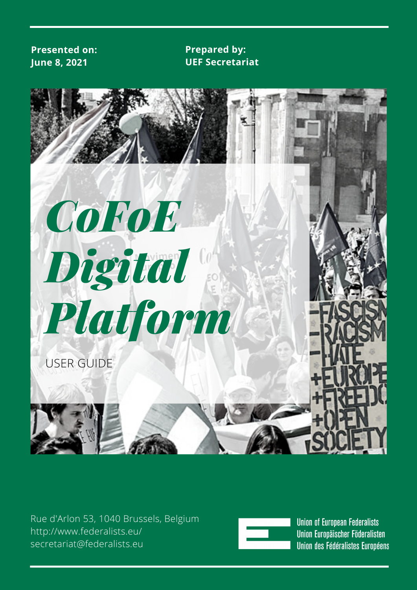#### **Presented on: June 8, 2021**

#### **Prepared by: UEF Secretariat**



Rue d'Arlon 53, 1040 Brussels, Belgium [http://www.federalists.eu/](http://www.federalists.eu/?fbclid=IwAR3UtY3_rK0Oj0CwEb7HafNrgKa_-h3kgWRIPcWo5G3OUBJSQYXlHvAznkM) secretariat@federalists.eu



**Union of European Federalists** Union Europäischer Föderalisten Union des Fédéralistes Européens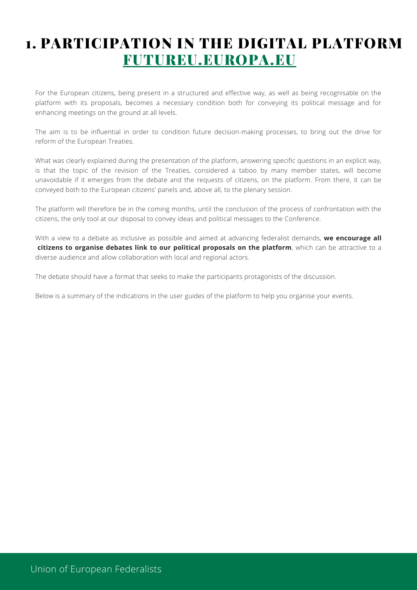# 1. PARTICIPATION IN THE DIGITAL PLATFORM [FUTUREU.EUROPA.EU](https://futureu.europa.eu/)

For the European citizens, being present in a structured and effective way, as well as being recognisable on the platform with its proposals, becomes a necessary condition both for conveying its political message and for enhancing meetings on the ground at all levels.

The aim is to be influential in order to condition future decision-making processes, to bring out the drive for reform of the European Treaties.

What was clearly explained during the presentation of the platform, answering specific questions in an explicit way, is that the topic of the revision of the Treaties, considered a taboo by many member states, will become unavoidable if it emerges from the debate and the requests of citizens, on the platform. From there, it can be conveyed both to the European citizens' panels and, above all, to the plenary session.

The platform will therefore be in the coming months, until the conclusion of the process of confrontation with the citizens, the only tool at our disposal to convey ideas and political messages to the Conference.

With a view to a debate as inclusive as possible and aimed at advancing federalist demands, **we encourage all citizens to organise debates link to our political proposals on the platform**, which can be attractive to a diverse audience and allow collaboration with local and regional actors.

The debate should have a format that seeks to make the participants protagonists of the discussion.

Below is a summary of the indications in the user guides of the platform to help you organise your events.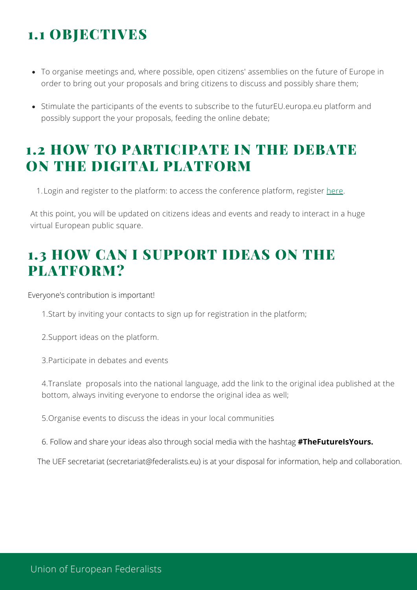# 1.1 OBJECTIVES

- To organise meetings and, where possible, open citizens' assemblies on the future of Europe in order to bring out your proposals and bring citizens to discuss and possibly share them;
- Stimulate the participants of the events to subscribe to the futurEU.europa.eu platform and possibly support the your proposals, feeding the online debate;

## 1.2 HOW TO PARTICIPATE IN THE DEBATE ON THE DIGITAL PLATFORM

1. Login and register to the platform: to access the conference platform, register [here](https://futureu.europa.eu/).

At this point, you will be updated on citizens ideas and events and ready to interact in a huge virtual European public square.

# 1.3 HOW CAN I SUPPORT IDEAS ON THE PLATFORM?

Everyone's contribution is important!

1.Start by inviting your contacts to sign up for registration in the platform;

2.Support ideas on the platform.

3.Participate in debates and events

4.Translate proposals into the national language, add the link to the original idea published at the bottom, always inviting everyone to endorse the original idea as well;

5.Organise events to discuss the ideas in your local communities

6. Follow and share your ideas also through social media with the hashtag **#TheFutureIsYours.**

The UEF secretariat (secretariat@federalists.eu) is at your disposal for information, help and collaboration.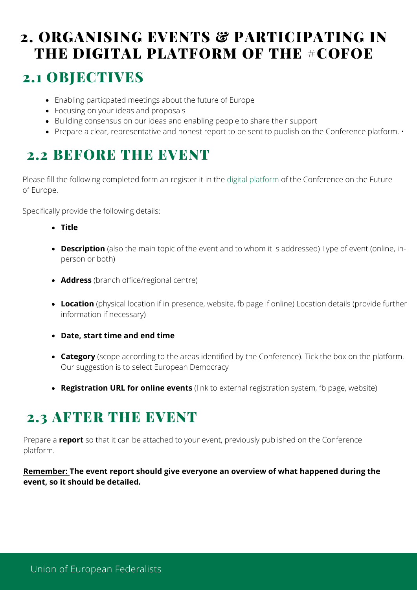# 2. ORGANISING EVENTS & PARTICIPATING IN THE DIGITAL PLATFORM OF THE #COFOE

### 2.1 OBJECTIVES

- Enabling particpated meetings about the future of Europe
- Focusing on your ideas and proposals
- Building consensus on our ideas and enabling people to share their support
- Prepare a clear, representative and honest report to be sent to publish on the Conference platform.  $\cdot$

## 2.2 BEFORE THE EVENT

Please fill the following completed form an register it in the digital [platform](https://futureu.europa.eu/) of the Conference on the Future of Europe.

Specifically provide the following details:

- **Title**
- **Description** (also the main topic of the event and to whom it is addressed) Type of event (online, inperson or both)
- **Address** (branch office/regional centre)
- **Location** (physical location if in presence, website, fb page if online) Location details (provide further information if necessary)
- **Date, start time and end time**
- **Category** (scope according to the areas identified by the Conference). Tick the box on the platform. Our suggestion is to select European Democracy
- **Registration URL for online events** (link to external registration system, fb page, website)

## 2.3 AFTER THE EVENT

Prepare a **report** so that it can be attached to your event, previously published on the Conference platform.

**Remember: The event report should give everyone an overview of what happened during the event, so it should be detailed.**